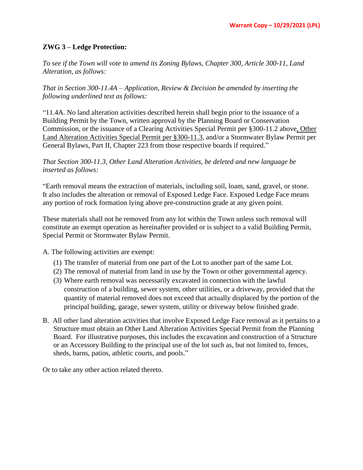## **ZWG 3 – Ledge Protection:**

*To see if the Town will vote to amend its Zoning Bylaws, Chapter 300, Article 300-11, Land Alteration, as follows:* 

*That in Section 300-11.4A – Application, Review & Decision be amended by inserting the following underlined text as follows:*

"11.4A. No land alteration activities described herein shall begin prior to the issuance of a Building Permit by the Town, written approval by the Planning Board or Conservation Commission, or the issuance of a Clearing Activities Special Permit per §300-11.2 above, Other Land Alteration Activities Special Permit per §300-11.3, and/or a Stormwater Bylaw Permit per General Bylaws, Part II, Chapter 223 from those respective boards if required."

*That Section 300-11.3, Other Land Alteration Activities, be deleted and new language be inserted as follows:*

"Earth removal means the extraction of materials, including soil, loam, sand, gravel, or stone. It also includes the alteration or removal of Exposed Ledge Face. Exposed Ledge Face means any portion of rock formation lying above pre-construction grade at any given point.

These materials shall not be removed from any lot within the Town unless such removal will constitute an exempt operation as hereinafter provided or is subject to a valid Building Permit, Special Permit or Stormwater Bylaw Permit.

A. The following activities are exempt:

- (1) The transfer of material from one part of the Lot to another part of the same Lot.
- (2) The removal of material from land in use by the Town or other governmental agency.
- (3) Where earth removal was necessarily excavated in connection with the lawful construction of a building, sewer system, other utilities, or a driveway, provided that the quantity of material removed does not exceed that actually displaced by the portion of the principal building, garage, sewer system, utility or driveway below finished grade.
- B. All other land alteration activities that involve Exposed Ledge Face removal as it pertains to a Structure must obtain an Other Land Alteration Activities Special Permit from the Planning Board. For illustrative purposes, this includes the excavation and construction of a Structure or an Accessory Building to the principal use of the lot such as, but not limited to, fences, sheds, barns, patios, athletic courts, and pools."

Or to take any other action related thereto.